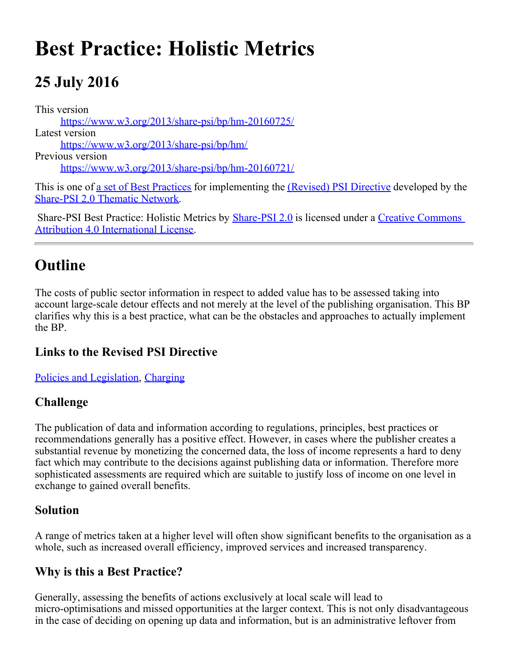# **Best Practice: Holistic Metrics**

## **25 July 2016**

This version <https://www.w3.org/2013/share-psi/bp/hm-20160725/> Latest version <https://www.w3.org/2013/share-psi/bp/hm/> Previous version <https://www.w3.org/2013/share-psi/bp/hm-20160721/>

This is one of <u>a set of Best Practices</u> for implementing the *(Revised)* PSI Directive developed by the [Share-PSI 2.0 Thematic Network](http://www.w3.org/2013/share-psi/).

Share-PSI Best Practice: Holistic Metrics by **[Share-PSI 2.0](http://www.w3.org/2013/share-psi/)** is licensed under a [Creative Commons](http://creativecommons.org/licenses/by/4.0/) [Attribution 4.0 International License](http://creativecommons.org/licenses/by/4.0/).

## **Outline**

The costs of public sector information in respect to added value has to be assessed taking into account large-scale detour effects and not merely at the level of the publishing organisation. This BP clarifies why this is a best practice, what can be the obstacles and approaches to actually implement the BP.

#### **Links to the Revised PSI Directive**

[Policies and Legislation](https://www.w3.org/2013/share-psi/bp/policy/), [Charging](https://www.w3.org/2013/share-psi/bp/charging/)

#### **Challenge**

The publication of data and information according to regulations, principles, best practices or recommendations generally has a positive effect. However, in cases where the publisher creates a substantial revenue by monetizing the concerned data, the loss of income represents a hard to deny fact which may contribute to the decisions against publishing data or information. Therefore more sophisticated assessments are required which are suitable to justify loss of income on one level in exchange to gained overall benefits.

#### **Solution**

A range of metrics taken at a higher level will often show significant benefits to the organisation as a whole, such as increased overall efficiency, improved services and increased transparency.

#### **Why is this a Best Practice?**

Generally, assessing the benefits of actions exclusively at local scale will lead to micro-optimisations and missed opportunities at the larger context. This is not only disadvantageous in the case of deciding on opening up data and information, but is an administrative leftover from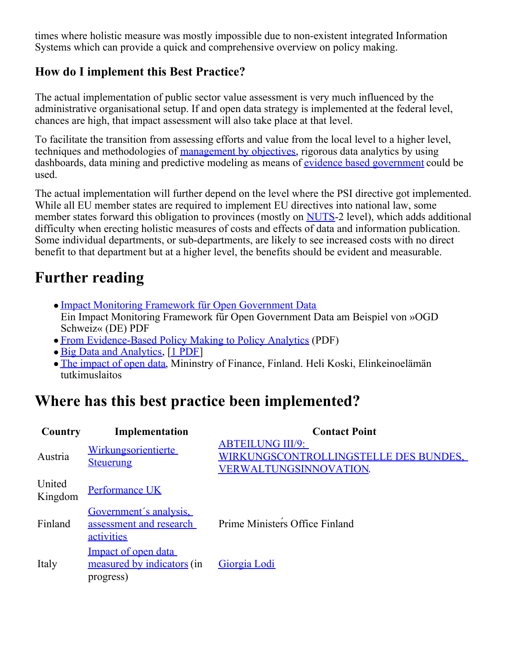times where holistic measure was mostly impossible due to non-existent integrated Information Systems which can provide a quick and comprehensive overview on policy making.

#### **How do I implement this Best Practice?**

The actual implementation of public sector value assessment is very much influenced by the administrative organisational setup. If and open data strategy is implemented at the federal level, chances are high, that impact assessment will also take place at that level.

To facilitate the transition from assessing efforts and value from the local level to a higher level, techniques and methodologies of [management by objectives](https://en.wikipedia.org/wiki/Management_by_objectives), rigorous data analytics by using dashboards, data mining and predictive modeling as means of [evidence based government](https://en.wikipedia.org/wiki/Evidence-based_policy) could be used.

The actual implementation will further depend on the level where the PSI directive got implemented. While all EU member states are required to implement EU directives into national law, some member states forward this obligation to provinces (mostly on [NUTS](http://ec.europa.eu/eurostat/web/nuts/overview)-2 level), which adds additional difficulty when erecting holistic measures of costs and effects of data and information publication. Some individual departments, or sub-departments, are likely to see increased costs with no direct benefit to that department but at a higher level, the benefits should be evident and measurable.

#### **Further reading**

- [Impact Monitoring Framework für Open Government Data](http://digisus.com/blog/wp-content/uploads/2013/06/OGD-CH-IMF-DACHLI-Bericht-V04-DOWNLOAD-VERSION.pdf) Ein Impact Monitoring Framework für Open Government Data am Beispiel von »OGD Schweiz« (DE) PDF
- [From Evidence-Based Policy Making to Policy Analytics](http://intra961:8500/edp/parse-bp/href=) (PDF)
- [Big Data and Analytics](http://www.govtech.com/library/papers/Big-Data-and-Analytics-in-Government-1554.html), [[1 PDF](http://assets.teradata.com/resourceCenter/downloads/WhitePapers/Public_CIO_Special_Report_Big_Data_and_Analytics.pdf)]
- [The impact of open data](http://vm.fi/julkaisu?pubid=5202"), Mininstry of Finance, Finland. Heli Koski, Elinkeinoelämän tutkimuslaitos

### **Where has this best practice been implemented?**

| Country           | Implementation                                                  | <b>Contact Point</b>                                                                       |
|-------------------|-----------------------------------------------------------------|--------------------------------------------------------------------------------------------|
| Austria           | Wirkungsorientierte<br><b>Steuerung</b>                         | <b>ABTEILUNG III/9:</b><br>WIRKUNGSCONTROLLINGSTELLE DES BUNDES.<br>VERWALTUNGSINNOVATION. |
| United<br>Kingdom | Performance UK                                                  |                                                                                            |
| Finland           | Government's analysis.<br>assessment and research<br>activities | Prime Ministers Office Finland                                                             |
| Italy             | Impact of open data<br>measured by indicators (in<br>progress)  | Giorgia Lodi                                                                               |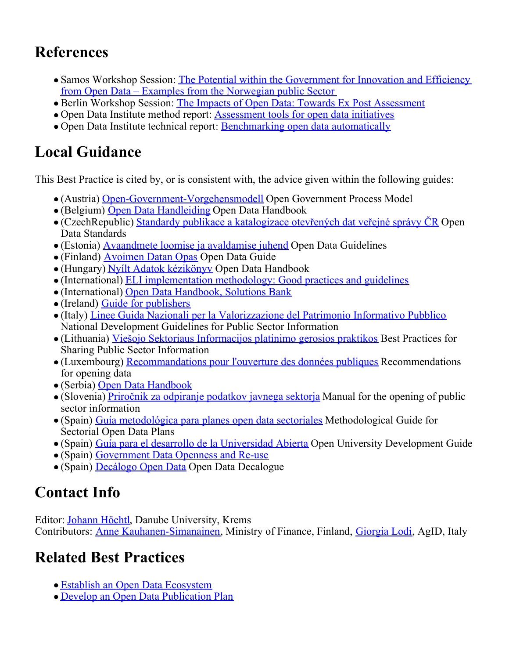## **References**

- Samos Workshop Session: [The Potential within the Government for Innovation and Efficiency](https://www.w3.org/2013/share-psi/wiki/images/d/d2/NorwegianPublicSectorSharePSISamos.pdf) [from Open Data – Examples from the Norwegian public Sector](https://www.w3.org/2013/share-psi/wiki/images/d/d2/NorwegianPublicSectorSharePSISamos.pdf)
- Berlin Workshop Session: [The Impacts of Open Data: Towards Ex Post Assessment](https://www.w3.org/2013/share-psi/workshop/berlin/Koski)
- Open Data Institute method report: [Assessment tools for open data initiatives](http://theodi.org/method-report-assessment-tools-for-open-data-initiatives)
- Open Data Institute technical report: [Benchmarking open data automatically](http://theodi.org/guides/benchmarking-data-automatically)

## **Local Guidance**

This Best Practice is cited by, or is consistent with, the advice given within the following guides:

- (Austria) [Open-Government-Vorgehensmodell](https://www.w3.org/2013/share-psi/lg/Austria#wnGuide) Open Government Process Model
- (Belgium) [Open Data Handleiding](https://www.w3.org/2013/share-psi/lg/Belgium#vlGuide) Open Data Handbook
- (CzechRepublic) [Standardy publikace a katalogizace otevřených dat veřejné správy ČR](https://www.w3.org/2013/share-psi/lg/CzechRepublic#czOpenDataStandards) Open Data Standards
- (Estonia) [Avaandmete loomise ja avaldamise juhend](https://www.w3.org/2013/share-psi/lg/Estonia#eeGuide) Open Data Guidelines
- (Finland) [Avoimen Datan Opas](https://www.w3.org/2013/share-psi/lg/Finland#fiOpenData) Open Data Guide
- (Hungary) [Nyílt Adatok kézikönyv](https://www.w3.org/2013/share-psi/lg/Hungary#huGuide) Open Data Handbook
- (International) [ELI implementation methodology: Good practices and guidelines](https://www.w3.org/2013/share-psi/lg/International#elig)
- (International) [Open Data Handbook, Solutions Bank](https://www.w3.org/2013/share-psi/lg/International#okhbsb)
- (Ireland) [Guide for publishers](https://www.w3.org/2013/share-psi/lg/Ireland#ieOpenData)
- (Italy) [Linee Guida Nazionali per la Valorizzazione del Patrimonio Informativo Pubblico](https://www.w3.org/2013/share-psi/lg/Italy#itGuide) National Development Guidelines for Public Sector Information
- (Lithuania) [Viešojo Sektoriaus Informacijos platinimo gerosios praktikos](https://www.w3.org/2013/share-psi/lg/Lithuania#ltGuide) Best Practices for Sharing Public Sector Information
- (Luxembourg) [Recommandations pour l'ouverture des données publiques](https://www.w3.org/2013/share-psi/lg/Luxembourg#luGuide) Recommendations for opening data
- (Serbia) [Open Data Handbook](https://www.w3.org/2013/share-psi/lg/Serbia#rsGuide)
- (Slovenia) [Priročnik za odpiranje podatkov javnega sektorja](https://www.w3.org/2013/share-psi/lg/Slovenia#siGuide) Manual for the opening of public sector information
- (Spain) [Guía metodológica para planes open data sectoriales](https://www.w3.org/2013/share-psi/lg/Spain#mgsodp) Methodological Guide for Sectorial Open Data Plans
- (Spain) [Guía para el desarrollo de la Universidad Abierta](https://www.w3.org/2013/share-psi/lg/Spain#esou) Open University Development Guide
- (Spain) [Government Data Openness and Re-use](https://www.w3.org/2013/share-psi/lg/Spain#caGuide)
- (Spain) [Decálogo Open Data](https://www.w3.org/2013/share-psi/lg/Spain#odd) Open Data Decalogue

## **Contact Info**

Editor: [Johann Höchtl](mailto:johann.hoechtl@donau-uni.ac.at), Danube University, Krems Contributors: [Anne Kauhanen-Simanainen](mailto:Anne.Kauhanen-Simanainen@vm.fi), Ministry of Finance, Finland, [Giorgia Lodi](https://sites.google.com/site/giorgialodi/), AgID, Italy

## **Related Best Practices**

- [Establish an Open Data Ecosystem](https://www.w3.org/2013/share-psi/bp/eode/)
- [Develop an Open Data Publication Plan](https://www.w3.org/2013/share-psi/bp/odpp/)